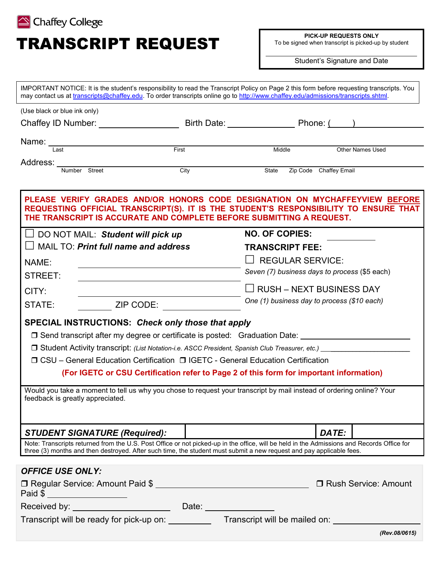

# TRANSCRIPT REQUEST

**PICK-UP REQUESTS ONLY**

To be signed when transcript is picked-up by student

Student's Signature and Date

| IMPORTANT NOTICE: It is the student's responsibility to read the Transcript Policy on Page 2 this form before requesting transcripts. You<br>may contact us at transcripts@chaffey.edu. To order transcripts online go to http://www.chaffey.edu/admissions/transcripts.shtml.                                                                                                                                                    |                                                          |                                                                                         |                        |               |
|-----------------------------------------------------------------------------------------------------------------------------------------------------------------------------------------------------------------------------------------------------------------------------------------------------------------------------------------------------------------------------------------------------------------------------------|----------------------------------------------------------|-----------------------------------------------------------------------------------------|------------------------|---------------|
| (Use black or blue ink only)                                                                                                                                                                                                                                                                                                                                                                                                      |                                                          |                                                                                         |                        |               |
|                                                                                                                                                                                                                                                                                                                                                                                                                                   |                                                          |                                                                                         |                        |               |
| Name: _____                                                                                                                                                                                                                                                                                                                                                                                                                       | <u>First</u>                                             | Middle                                                                                  |                        |               |
| Last                                                                                                                                                                                                                                                                                                                                                                                                                              |                                                          |                                                                                         | Other Names Used       |               |
| Address: _______<br><b>City</b><br>Number Street                                                                                                                                                                                                                                                                                                                                                                                  |                                                          | State<br>Zip Code Chaffey Email                                                         |                        |               |
| PLEASE VERIFY GRADES AND/OR HONORS CODE DESIGNATION ON MYCHAFFEYVIEW BEFORE<br>REQUESTING OFFICIAL TRANSCRIPT(S). IT IS THE STUDENT'S RESPONSIBILITY TO ENSURE THAT<br>THE TRANSCRIPT IS ACCURATE AND COMPLETE BEFORE SUBMITTING A REQUEST.                                                                                                                                                                                       |                                                          |                                                                                         |                        |               |
| $\Box$ DO NOT MAIL: Student will pick up                                                                                                                                                                                                                                                                                                                                                                                          |                                                          | <b>NO. OF COPIES:</b>                                                                   |                        |               |
| MAIL TO: Print full name and address                                                                                                                                                                                                                                                                                                                                                                                              |                                                          | <b>TRANSCRIPT FEE:</b>                                                                  |                        |               |
| NAME:                                                                                                                                                                                                                                                                                                                                                                                                                             | $\Box$ REGULAR SERVICE:                                  |                                                                                         |                        |               |
| STREET:                                                                                                                                                                                                                                                                                                                                                                                                                           |                                                          | Seven (7) business days to process (\$5 each)                                           |                        |               |
| CITY:                                                                                                                                                                                                                                                                                                                                                                                                                             |                                                          | $\Box$ RUSH – NEXT BUSINESS DAY                                                         |                        |               |
| STATE:                                                                                                                                                                                                                                                                                                                                                                                                                            | One (1) business day to process (\$10 each)<br>ZIP CODE: |                                                                                         |                        |               |
| <b>SPECIAL INSTRUCTIONS: Check only those that apply</b><br>□ Send transcript after my degree or certificate is posted: Graduation Date: <u>University of the set of the set</u><br>□ CSU – General Education Certification □ IGETC - General Education Certification<br>Would you take a moment to tell us why you chose to request your transcript by mail instead of ordering online? Your<br>feedback is greatly appreciated. |                                                          | (For IGETC or CSU Certification refer to Page 2 of this form for important information) |                        |               |
|                                                                                                                                                                                                                                                                                                                                                                                                                                   |                                                          |                                                                                         |                        |               |
| <b>STUDENT SIGNATURE (Required):</b>                                                                                                                                                                                                                                                                                                                                                                                              |                                                          |                                                                                         | DATE:                  |               |
| Note: Transcripts returned from the U.S. Post Office or not picked-up in the office, will be held in the Admissions and Records Office for<br>three (3) months and then destroyed. After such time, the student must submit a new request and pay applicable fees.                                                                                                                                                                |                                                          |                                                                                         |                        |               |
| <b>OFFICE USE ONLY:</b>                                                                                                                                                                                                                                                                                                                                                                                                           |                                                          |                                                                                         |                        |               |
| □ Regular Service: Amount Paid \$<br>Paid \$                                                                                                                                                                                                                                                                                                                                                                                      |                                                          |                                                                                         | □ Rush Service: Amount |               |
|                                                                                                                                                                                                                                                                                                                                                                                                                                   |                                                          |                                                                                         |                        |               |
| Transcript will be ready for pick-up on: Transcript will be mailed on: University of the ready for pick-up on:                                                                                                                                                                                                                                                                                                                    |                                                          |                                                                                         |                        |               |
|                                                                                                                                                                                                                                                                                                                                                                                                                                   |                                                          |                                                                                         |                        | (Rev.08/0615) |
|                                                                                                                                                                                                                                                                                                                                                                                                                                   |                                                          |                                                                                         |                        |               |